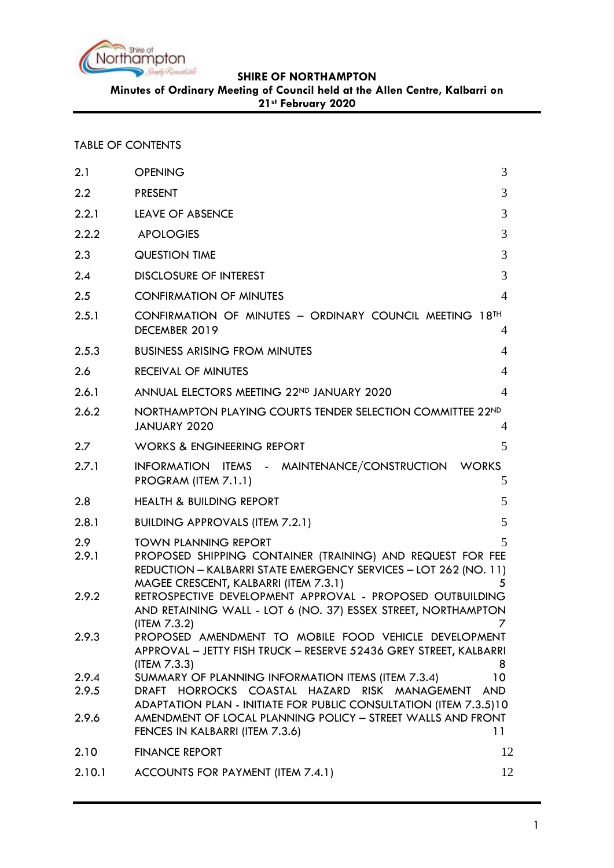

**Minutes of Ordinary Meeting of Council held at the Allen Centre, Kalbarri on** 

**21st February 2020**

### TABLE OF CONTENTS

| 2.1                     | 3<br><b>OPENING</b>                                                                                                                                                                                                                                                      |    |
|-------------------------|--------------------------------------------------------------------------------------------------------------------------------------------------------------------------------------------------------------------------------------------------------------------------|----|
| 2.2                     | <b>PRESENT</b>                                                                                                                                                                                                                                                           | 3  |
| 2.2.1                   | 3<br><b>LEAVE OF ABSENCE</b>                                                                                                                                                                                                                                             |    |
| 2.2.2                   | 3<br><b>APOLOGIES</b>                                                                                                                                                                                                                                                    |    |
| 2.3                     | <b>QUESTION TIME</b>                                                                                                                                                                                                                                                     | 3  |
| 2.4                     | 3<br><b>DISCLOSURE OF INTEREST</b>                                                                                                                                                                                                                                       |    |
| 2.5                     | <b>CONFIRMATION OF MINUTES</b><br>$\overline{4}$                                                                                                                                                                                                                         |    |
| 2.5.1                   | CONFIRMATION OF MINUTES - ORDINARY COUNCIL MEETING 18TH<br>DECEMBER 2019                                                                                                                                                                                                 | 4  |
| 2.5.3                   | <b>BUSINESS ARISING FROM MINUTES</b>                                                                                                                                                                                                                                     | 4  |
| 2.6                     | <b>RECEIVAL OF MINUTES</b>                                                                                                                                                                                                                                               | 4  |
| 2.6.1                   | ANNUAL ELECTORS MEETING 22ND JANUARY 2020<br>4                                                                                                                                                                                                                           |    |
| 2.6.2                   | NORTHAMPTON PLAYING COURTS TENDER SELECTION COMMITTEE 22ND<br>JANUARY 2020<br>4                                                                                                                                                                                          |    |
| 2.7                     | 5<br><b>WORKS &amp; ENGINEERING REPORT</b>                                                                                                                                                                                                                               |    |
| 2.7.1                   | INFORMATION ITEMS - MAINTENANCE/CONSTRUCTION WORKS<br>PROGRAM (ITEM 7.1.1)<br>5                                                                                                                                                                                          |    |
| 2.8                     | <b>HEALTH &amp; BUILDING REPORT</b><br>5                                                                                                                                                                                                                                 |    |
| 2.8.1                   | 5<br><b>BUILDING APPROVALS (ITEM 7.2.1)</b>                                                                                                                                                                                                                              |    |
| 2.9<br>2.9.1            | <b>TOWN PLANNING REPORT</b><br>5<br>PROPOSED SHIPPING CONTAINER (TRAINING) AND REQUEST FOR FEE<br>REDUCTION - KALBARRI STATE EMERGENCY SERVICES - LOT 262 (NO. 11)<br>MAGEE CRESCENT, KALBARRI (ITEM 7.3.1)<br>5                                                         |    |
| 2.9.2                   | RETROSPECTIVE DEVELOPMENT APPROVAL - PROPOSED OUTBUILDING<br>AND RETAINING WALL - LOT 6 (NO. 37) ESSEX STREET, NORTHAMPTON<br>(ITEM 7.3.2)                                                                                                                               |    |
| 2.9.3                   | PROPOSED AMENDMENT TO MOBILE FOOD VEHICLE DEVELOPMENT<br>APPROVAL - JETTY FISH TRUCK - RESERVE 52436 GREY STREET, KALBARRI<br>(IFEM 7.3.3)<br>8                                                                                                                          |    |
| 2.9.4<br>2.9.5<br>2.9.6 | SUMMARY OF PLANNING INFORMATION ITEMS (ITEM 7.3.4)<br>10 <sup>°</sup><br>DRAFT HORROCKS COASTAL HAZARD RISK MANAGEMENT<br><b>AND</b><br>ADAPTATION PLAN - INITIATE FOR PUBLIC CONSULTATION (ITEM 7.3.5)10<br>AMENDMENT OF LOCAL PLANNING POLICY - STREET WALLS AND FRONT |    |
|                         | FENCES IN KALBARRI (ITEM 7.3.6)<br>11                                                                                                                                                                                                                                    |    |
| 2.10                    | <b>FINANCE REPORT</b>                                                                                                                                                                                                                                                    | 12 |
| 2.10.1                  | ACCOUNTS FOR PAYMENT (ITEM 7.4.1)                                                                                                                                                                                                                                        | 12 |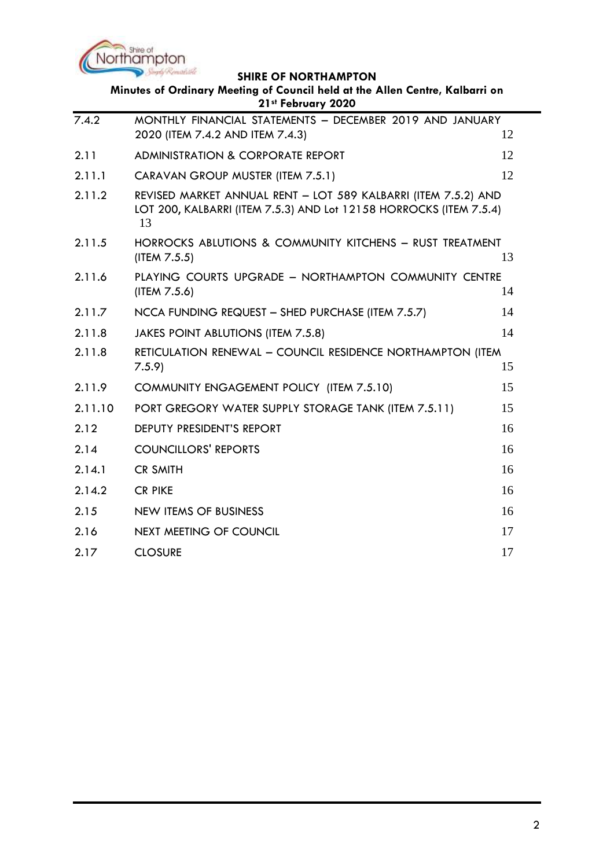

| Minutes of Ordinary Meeting of Council held at the Allen Centre, Kalbarri on<br>21st February 2020 |                                                                                                                                            |    |  |  |
|----------------------------------------------------------------------------------------------------|--------------------------------------------------------------------------------------------------------------------------------------------|----|--|--|
| 7.4.2                                                                                              | MONTHLY FINANCIAL STATEMENTS - DECEMBER 2019 AND JANUARY<br>2020 (ITEM 7.4.2 AND ITEM 7.4.3)                                               | 12 |  |  |
| 2.11                                                                                               | <b>ADMINISTRATION &amp; CORPORATE REPORT</b>                                                                                               | 12 |  |  |
| 2.11.1                                                                                             | CARAVAN GROUP MUSTER (ITEM 7.5.1)                                                                                                          | 12 |  |  |
| 2.11.2                                                                                             | REVISED MARKET ANNUAL RENT - LOT 589 KALBARRI (ITEM 7.5.2) AND<br>LOT 200, KALBARRI (ITEM 7.5.3) AND Lot 12158 HORROCKS (ITEM 7.5.4)<br>13 |    |  |  |
| 2.11.5                                                                                             | HORROCKS ABLUTIONS & COMMUNITY KITCHENS - RUST TREATMENT<br>(ITEM 7.5.5)                                                                   | 13 |  |  |
| 2.11.6                                                                                             | PLAYING COURTS UPGRADE - NORTHAMPTON COMMUNITY CENTRE<br>(ITEM 7.5.6)                                                                      | 14 |  |  |
| 2.11.7                                                                                             | NCCA FUNDING REQUEST - SHED PURCHASE (ITEM 7.5.7)                                                                                          | 14 |  |  |
| 2.11.8                                                                                             | JAKES POINT ABLUTIONS (ITEM 7.5.8)                                                                                                         | 14 |  |  |
| 2.11.8                                                                                             | RETICULATION RENEWAL - COUNCIL RESIDENCE NORTHAMPTON (ITEM<br>7.5.9                                                                        | 15 |  |  |
| 2.11.9                                                                                             | COMMUNITY ENGAGEMENT POLICY (ITEM 7.5.10)                                                                                                  | 15 |  |  |
| 2.11.10                                                                                            | PORT GREGORY WATER SUPPLY STORAGE TANK (ITEM 7.5.11)                                                                                       | 15 |  |  |
| 2.12                                                                                               | DEPUTY PRESIDENT'S REPORT                                                                                                                  | 16 |  |  |
| 2.14                                                                                               | <b>COUNCILLORS' REPORTS</b>                                                                                                                | 16 |  |  |
| 2.14.1                                                                                             | <b>CR SMITH</b>                                                                                                                            | 16 |  |  |
| 2.14.2                                                                                             | <b>CR PIKE</b>                                                                                                                             | 16 |  |  |
| 2.15                                                                                               | NEW ITEMS OF BUSINESS                                                                                                                      | 16 |  |  |
| 2.16                                                                                               | <b>NEXT MEETING OF COUNCIL</b>                                                                                                             | 17 |  |  |
| 2.17                                                                                               | <b>CLOSURE</b>                                                                                                                             | 17 |  |  |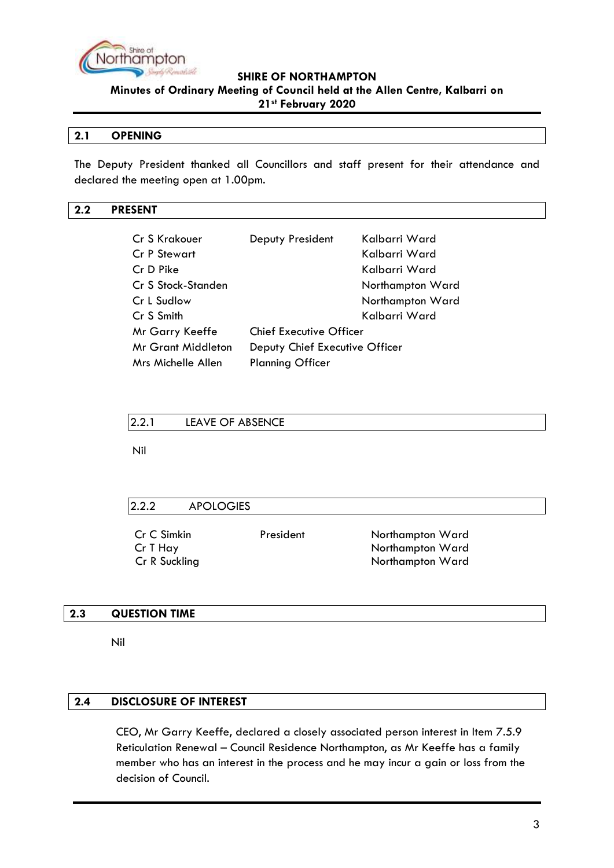

**Minutes of Ordinary Meeting of Council held at the Allen Centre, Kalbarri on 21st February 2020**

### <span id="page-2-0"></span>**2.1 OPENING**

The Deputy President thanked all Councillors and staff present for their attendance and declared the meeting open at 1.00pm.

# <span id="page-2-1"></span>**2.2 PRESENT**

| Cr S Krakouer             | Deputy President               | Kalbarri Ward    |  |
|---------------------------|--------------------------------|------------------|--|
| <b>Cr P Stewart</b>       |                                | Kalbarri Ward    |  |
| Cr D Pike                 |                                | Kalbarri Ward    |  |
| Cr S Stock-Standen        |                                | Northampton Ward |  |
| Cr L Sudlow               |                                | Northampton Ward |  |
| Cr S Smith                |                                | Kalbarri Ward    |  |
| <b>Mr Garry Keeffe</b>    | <b>Chief Executive Officer</b> |                  |  |
| <b>Mr Grant Middleton</b> | Deputy Chief Executive Officer |                  |  |
| Mrs Michelle Allen        | <b>Planning Officer</b>        |                  |  |

<span id="page-2-2"></span>

| 12.2.1 | LEAVE OF ABSENCE |  |
|--------|------------------|--|
|--------|------------------|--|

Nil

<span id="page-2-3"></span>

| 2.2.2<br><b>APOLOGIES</b> |           |                  |  |
|---------------------------|-----------|------------------|--|
| Cr C Simkin               | President | Northampton Ward |  |
| Cr T Hay                  |           | Northampton Ward |  |
| Cr R Suckling             |           | Northampton Ward |  |

### <span id="page-2-4"></span>**2.3 QUESTION TIME**

Nil

# <span id="page-2-5"></span>**2.4 DISCLOSURE OF INTEREST**

CEO, Mr Garry Keeffe, declared a closely associated person interest in Item 7.5.9 Reticulation Renewal – Council Residence Northampton, as Mr Keeffe has a family member who has an interest in the process and he may incur a gain or loss from the decision of Council.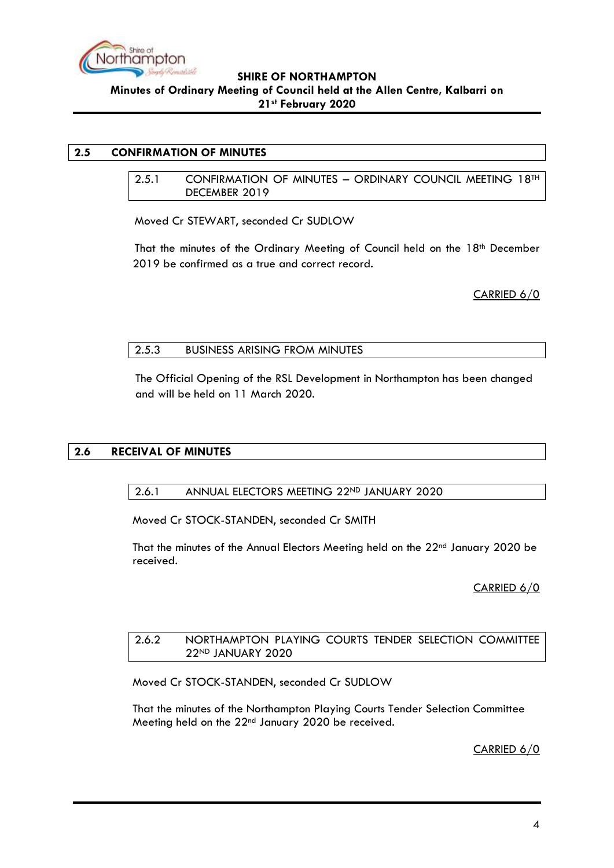

### <span id="page-3-1"></span><span id="page-3-0"></span>**2.5 CONFIRMATION OF MINUTES**

2.5.1 CONFIRMATION OF MINUTES – ORDINARY COUNCIL MEETING 18TH DECEMBER 2019

Moved Cr STEWART, seconded Cr SUDLOW

That the minutes of the Ordinary Meeting of Council held on the 18<sup>th</sup> December 2019 be confirmed as a true and correct record.

CARRIED 6/0

### <span id="page-3-2"></span>2.5.3 BUSINESS ARISING FROM MINUTES

The Official Opening of the RSL Development in Northampton has been changed and will be held on 11 March 2020.

### <span id="page-3-4"></span><span id="page-3-3"></span>**2.6 RECEIVAL OF MINUTES**

### 2.6.1 ANNUAL ELECTORS MEETING 22ND JANUARY 2020

Moved Cr STOCK-STANDEN, seconded Cr SMITH

That the minutes of the Annual Electors Meeting held on the  $22<sup>nd</sup>$  January 2020 be received.

CARRIED 6/0

#### <span id="page-3-5"></span>2.6.2 NORTHAMPTON PLAYING COURTS TENDER SELECTION COMMITTEE 22ND JANUARY 2020

Moved Cr STOCK-STANDEN, seconded Cr SUDLOW

That the minutes of the Northampton Playing Courts Tender Selection Committee Meeting held on the 22<sup>nd</sup> January 2020 be received.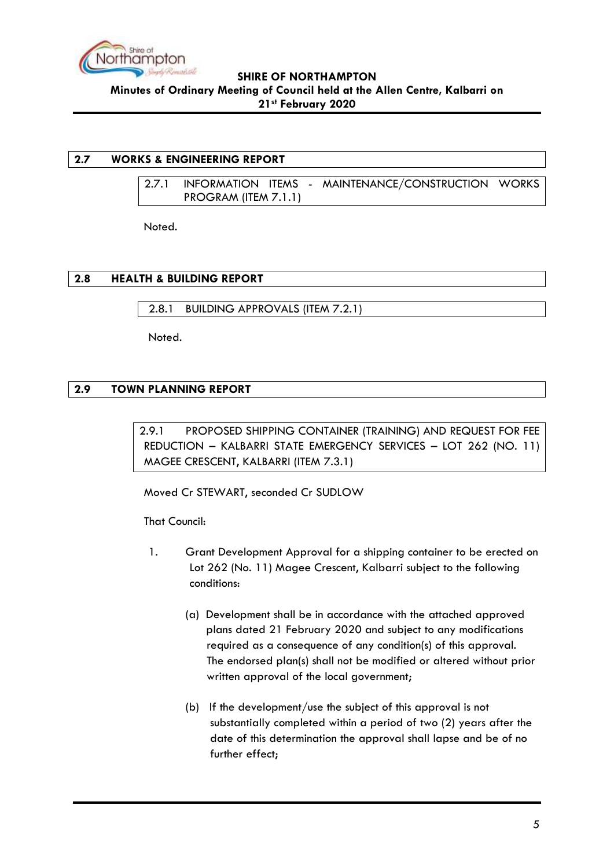

### <span id="page-4-1"></span><span id="page-4-0"></span>**2.7 WORKS & ENGINEERING REPORT**

2.7.1 INFORMATION ITEMS - MAINTENANCE/CONSTRUCTION WORKS PROGRAM (ITEM 7.1.1)

Noted.

### <span id="page-4-2"></span>**2.8 HEALTH & BUILDING REPORT**

<span id="page-4-3"></span>2.8.1 BUILDING APPROVALS (ITEM 7.2.1)

Noted.

# <span id="page-4-5"></span><span id="page-4-4"></span>**2.9 TOWN PLANNING REPORT**

2.9.1 PROPOSED SHIPPING CONTAINER (TRAINING) AND REQUEST FOR FEE REDUCTION – KALBARRI STATE EMERGENCY SERVICES – LOT 262 (NO. 11) MAGEE CRESCENT, KALBARRI (ITEM 7.3.1)

Moved Cr STEWART, seconded Cr SUDLOW

That Council:

- 1. Grant Development Approval for a shipping container to be erected on Lot 262 (No. 11) Magee Crescent, Kalbarri subject to the following conditions:
	- (a) Development shall be in accordance with the attached approved plans dated 21 February 2020 and subject to any modifications required as a consequence of any condition(s) of this approval. The endorsed plan(s) shall not be modified or altered without prior written approval of the local government;
	- (b) If the development/use the subject of this approval is not substantially completed within a period of two (2) years after the date of this determination the approval shall lapse and be of no further effect;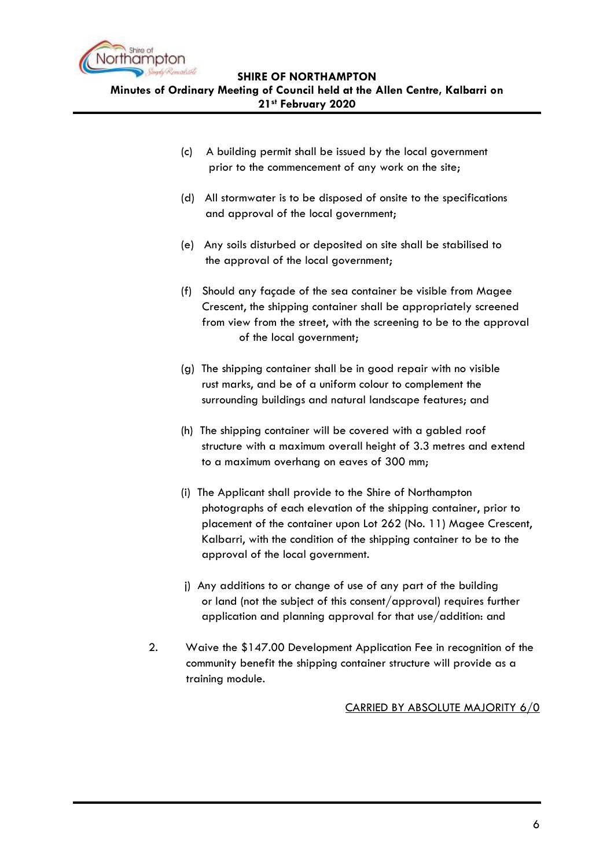

**Minutes of Ordinary Meeting of Council held at the Allen Centre, Kalbarri on 21st February 2020**

- (c) A building permit shall be issued by the local government prior to the commencement of any work on the site;
- (d) All stormwater is to be disposed of onsite to the specifications and approval of the local government;
- (e) Any soils disturbed or deposited on site shall be stabilised to the approval of the local government;
- (f) Should any façade of the sea container be visible from Magee Crescent, the shipping container shall be appropriately screened from view from the street, with the screening to be to the approval of the local government;
- (g) The shipping container shall be in good repair with no visible rust marks, and be of a uniform colour to complement the surrounding buildings and natural landscape features; and
- (h) The shipping container will be covered with a gabled roof structure with a maximum overall height of 3.3 metres and extend to a maximum overhang on eaves of 300 mm;
- (i) The Applicant shall provide to the Shire of Northampton photographs of each elevation of the shipping container, prior to placement of the container upon Lot 262 (No. 11) Magee Crescent, Kalbarri, with the condition of the shipping container to be to the approval of the local government.
- j) Any additions to or change of use of any part of the building or land (not the subject of this consent/approval) requires further application and planning approval for that use/addition: and
- 2. Waive the \$147.00 Development Application Fee in recognition of the community benefit the shipping container structure will provide as a training module.

### CARRIED BY ABSOLUTE MAJORITY 6/0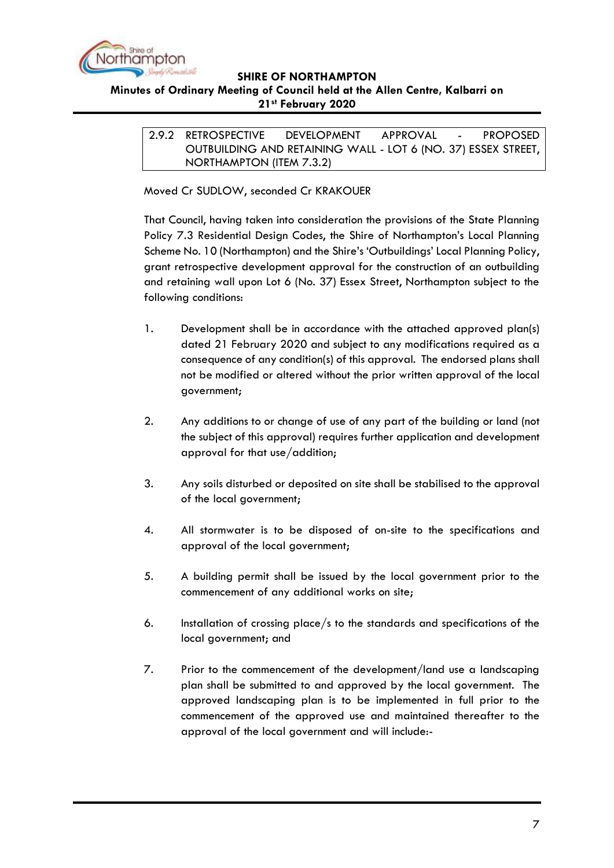

### <span id="page-6-0"></span>**Minutes of Ordinary Meeting of Council held at the Allen Centre, Kalbarri on 21st February 2020**

2.9.2 RETROSPECTIVE DEVELOPMENT APPROVAL - PROPOSED OUTBUILDING AND RETAINING WALL - LOT 6 (NO. 37) ESSEX STREET, NORTHAMPTON (ITEM 7.3.2)

Moved Cr SUDLOW, seconded Cr KRAKOUER

That Council, having taken into consideration the provisions of the State Planning Policy 7.3 Residential Design Codes, the Shire of Northampton's Local Planning Scheme No. 10 (Northampton) and the Shire's 'Outbuildings' Local Planning Policy, grant retrospective development approval for the construction of an outbuilding and retaining wall upon Lot 6 (No. 37) Essex Street, Northampton subject to the following conditions:

- 1. Development shall be in accordance with the attached approved plan(s) dated 21 February 2020 and subject to any modifications required as a consequence of any condition(s) of this approval. The endorsed plans shall not be modified or altered without the prior written approval of the local government;
- 2. Any additions to or change of use of any part of the building or land (not the subject of this approval) requires further application and development approval for that use/addition;
- 3. Any soils disturbed or deposited on site shall be stabilised to the approval of the local government;
- 4. All stormwater is to be disposed of on-site to the specifications and approval of the local government;
- 5. A building permit shall be issued by the local government prior to the commencement of any additional works on site;
- 6. Installation of crossing place/s to the standards and specifications of the local government; and
- 7. Prior to the commencement of the development/land use a landscaping plan shall be submitted to and approved by the local government. The approved landscaping plan is to be implemented in full prior to the commencement of the approved use and maintained thereafter to the approval of the local government and will include:-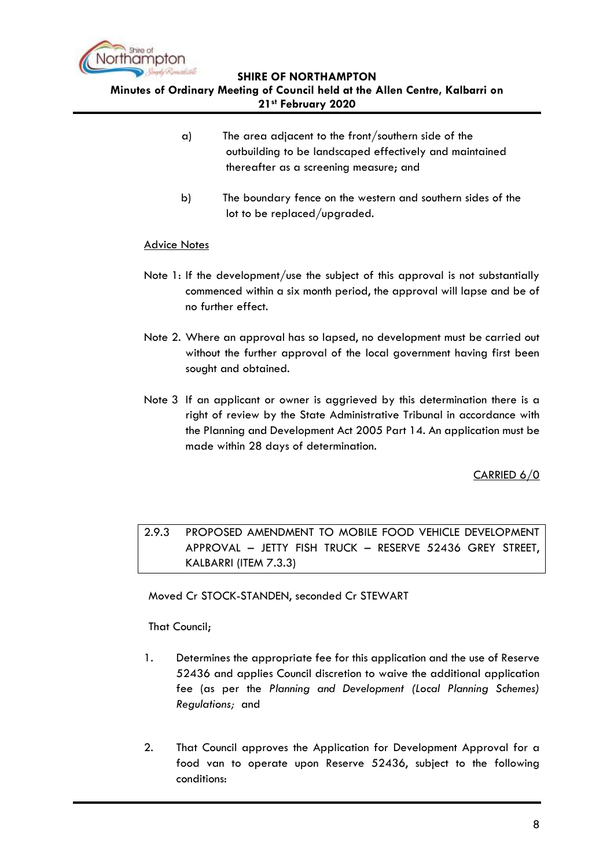

**Minutes of Ordinary Meeting of Council held at the Allen Centre, Kalbarri on 21st February 2020**

- a) The area adjacent to the front/southern side of the outbuilding to be landscaped effectively and maintained thereafter as a screening measure; and
- b) The boundary fence on the western and southern sides of the lot to be replaced/upgraded.

### Advice Notes

- Note 1: If the development/use the subject of this approval is not substantially commenced within a six month period, the approval will lapse and be of no further effect.
- Note 2. Where an approval has so lapsed, no development must be carried out without the further approval of the local government having first been sought and obtained.
- Note 3 If an applicant or owner is aggrieved by this determination there is a right of review by the State Administrative Tribunal in accordance with the Planning and Development Act 2005 Part 14. An application must be made within 28 days of determination.

CARRIED 6/0

<span id="page-7-0"></span>2.9.3 PROPOSED AMENDMENT TO MOBILE FOOD VEHICLE DEVELOPMENT APPROVAL – JETTY FISH TRUCK – RESERVE 52436 GREY STREET, KALBARRI (ITEM 7.3.3)

Moved Cr STOCK-STANDEN, seconded Cr STEWART

That Council;

- 1. Determines the appropriate fee for this application and the use of Reserve 52436 and applies Council discretion to waive the additional application fee (as per the *Planning and Development (Local Planning Schemes) Regulations;* and
- 2. That Council approves the Application for Development Approval for a food van to operate upon Reserve 52436, subject to the following conditions: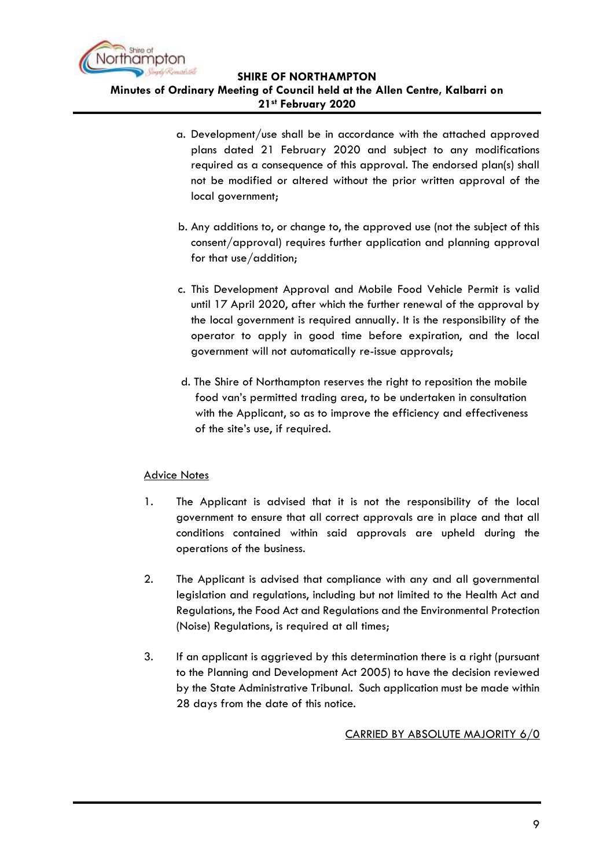

- a. Development/use shall be in accordance with the attached approved plans dated 21 February 2020 and subject to any modifications required as a consequence of this approval. The endorsed plan(s) shall not be modified or altered without the prior written approval of the local government;
- b. Any additions to, or change to, the approved use (not the subject of this consent/approval) requires further application and planning approval for that use/addition;
- c. This Development Approval and Mobile Food Vehicle Permit is valid until 17 April 2020, after which the further renewal of the approval by the local government is required annually. It is the responsibility of the operator to apply in good time before expiration, and the local government will not automatically re-issue approvals;
- d. The Shire of Northampton reserves the right to reposition the mobile food van's permitted trading area, to be undertaken in consultation with the Applicant, so as to improve the efficiency and effectiveness of the site's use, if required.

### Advice Notes

- 1. The Applicant is advised that it is not the responsibility of the local government to ensure that all correct approvals are in place and that all conditions contained within said approvals are upheld during the operations of the business.
- 2. The Applicant is advised that compliance with any and all governmental legislation and regulations, including but not limited to the Health Act and Regulations, the Food Act and Regulations and the Environmental Protection (Noise) Regulations, is required at all times;
- 3. If an applicant is aggrieved by this determination there is a right (pursuant to the Planning and Development Act 2005) to have the decision reviewed by the State Administrative Tribunal. Such application must be made within 28 days from the date of this notice.

# CARRIED BY ABSOLUTE MAJORITY 6/0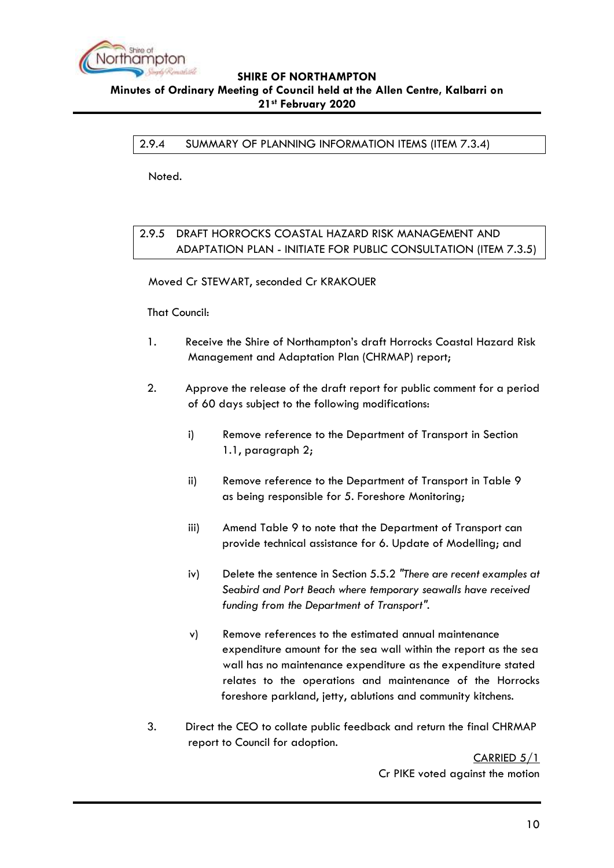

<span id="page-9-0"></span>2.9.4 SUMMARY OF PLANNING INFORMATION ITEMS (ITEM 7.3.4)

Noted.

# <span id="page-9-1"></span>2.9.5 DRAFT HORROCKS COASTAL HAZARD RISK MANAGEMENT AND ADAPTATION PLAN - INITIATE FOR PUBLIC CONSULTATION (ITEM 7.3.5)

Moved Cr STEWART, seconded Cr KRAKOUER

That Council:

- 1. Receive the Shire of Northampton's draft Horrocks Coastal Hazard Risk Management and Adaptation Plan (CHRMAP) report;
- 2. Approve the release of the draft report for public comment for a period of 60 days subject to the following modifications:
	- i) Remove reference to the Department of Transport in Section 1.1, paragraph 2;
	- ii) Remove reference to the Department of Transport in Table 9 as being responsible for 5. Foreshore Monitoring;
	- iii) Amend Table 9 to note that the Department of Transport can provide technical assistance for 6. Update of Modelling; and
	- iv) Delete the sentence in Section 5.5.2 *"There are recent examples at Seabird and Port Beach where temporary seawalls have received funding from the Department of Transport".*
	- v) Remove references to the estimated annual maintenance expenditure amount for the sea wall within the report as the sea wall has no maintenance expenditure as the expenditure stated relates to the operations and maintenance of the Horrocks foreshore parkland, jetty, ablutions and community kitchens.
- 3. Direct the CEO to collate public feedback and return the final CHRMAP report to Council for adoption.

CARRIED 5/1 Cr PIKE voted against the motion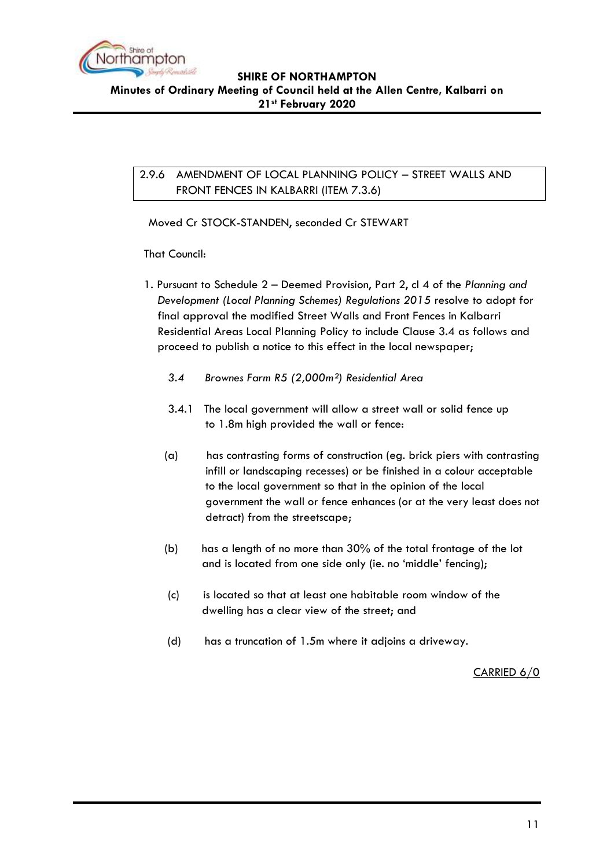

# <span id="page-10-0"></span>2.9.6 AMENDMENT OF LOCAL PLANNING POLICY – STREET WALLS AND FRONT FENCES IN KALBARRI (ITEM 7.3.6)

Moved Cr STOCK-STANDEN, seconded Cr STEWART

That Council:

- 1. Pursuant to Schedule 2 Deemed Provision, Part 2, cl 4 of the *Planning and Development (Local Planning Schemes) Regulations 2015* resolve to adopt for final approval the modified Street Walls and Front Fences in Kalbarri Residential Areas Local Planning Policy to include Clause 3.4 as follows and proceed to publish a notice to this effect in the local newspaper;
	- *3.4 Brownes Farm R5 (2,000m²) Residential Area*
	- 3.4.1 The local government will allow a street wall or solid fence up to 1.8m high provided the wall or fence:
	- (a) has contrasting forms of construction (eg. brick piers with contrasting infill or landscaping recesses) or be finished in a colour acceptable to the local government so that in the opinion of the local government the wall or fence enhances (or at the very least does not detract) from the streetscape;
	- (b) has a length of no more than 30% of the total frontage of the lot and is located from one side only (ie. no 'middle' fencing);
	- (c) is located so that at least one habitable room window of the dwelling has a clear view of the street; and
	- (d) has a truncation of 1.5m where it adjoins a driveway.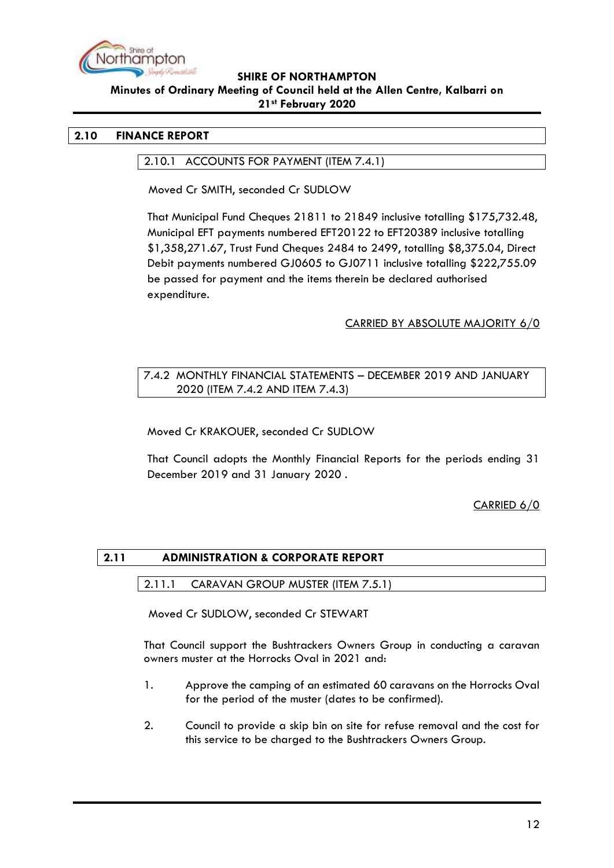

### <span id="page-11-1"></span><span id="page-11-0"></span>**2.10 FINANCE REPORT**

#### 2.10.1 ACCOUNTS FOR PAYMENT (ITEM 7.4.1)

Moved Cr SMITH, seconded Cr SUDLOW

That Municipal Fund Cheques 21811 to 21849 inclusive totalling \$175,732.48, Municipal EFT payments numbered EFT20122 to EFT20389 inclusive totalling \$1,358,271.67, Trust Fund Cheques 2484 to 2499, totalling \$8,375.04, Direct Debit payments numbered GJ0605 to GJ0711 inclusive totalling \$222,755.09 be passed for payment and the items therein be declared authorised expenditure.

### CARRIED BY ABSOLUTE MAJORITY 6/0

### <span id="page-11-2"></span>7.4.2 MONTHLY FINANCIAL STATEMENTS – DECEMBER 2019 AND JANUARY 2020 (ITEM 7.4.2 AND ITEM 7.4.3)

Moved Cr KRAKOUER, seconded Cr SUDLOW

That Council adopts the Monthly Financial Reports for the periods ending 31 December 2019 and 31 January 2020 .

CARRIED 6/0

### <span id="page-11-4"></span><span id="page-11-3"></span>**2.11 ADMINISTRATION & CORPORATE REPORT**

#### 2.11.1 CARAVAN GROUP MUSTER (ITEM 7.5.1)

Moved Cr SUDLOW, seconded Cr STEWART

That Council support the Bushtrackers Owners Group in conducting a caravan owners muster at the Horrocks Oval in 2021 and:

- 1. Approve the camping of an estimated 60 caravans on the Horrocks Oval for the period of the muster (dates to be confirmed).
- 2. Council to provide a skip bin on site for refuse removal and the cost for this service to be charged to the Bushtrackers Owners Group.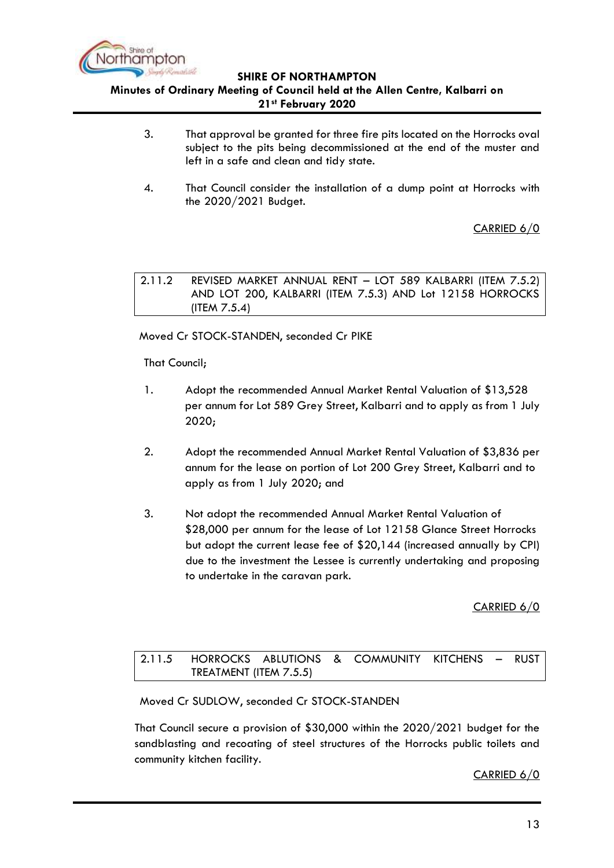

## **Minutes of Ordinary Meeting of Council held at the Allen Centre, Kalbarri on 21st February 2020**

- 3. That approval be granted for three fire pits located on the Horrocks oval subject to the pits being decommissioned at the end of the muster and left in a safe and clean and tidy state.
- 4. That Council consider the installation of a dump point at Horrocks with the 2020/2021 Budget.

CARRIED 6/0

<span id="page-12-0"></span>2.11.2 REVISED MARKET ANNUAL RENT – LOT 589 KALBARRI (ITEM 7.5.2) AND LOT 200, KALBARRI (ITEM 7.5.3) AND Lot 12158 HORROCKS (ITEM 7.5.4)

Moved Cr STOCK-STANDEN, seconded Cr PIKE

That Council;

- 1. Adopt the recommended Annual Market Rental Valuation of \$13,528 per annum for Lot 589 Grey Street, Kalbarri and to apply as from 1 July 2020;
- 2. Adopt the recommended Annual Market Rental Valuation of \$3,836 per annum for the lease on portion of Lot 200 Grey Street, Kalbarri and to apply as from 1 July 2020; and
- 3. Not adopt the recommended Annual Market Rental Valuation of \$28,000 per annum for the lease of Lot 12158 Glance Street Horrocks but adopt the current lease fee of \$20,144 (increased annually by CPI) due to the investment the Lessee is currently undertaking and proposing to undertake in the caravan park.

CARRIED 6/0

<span id="page-12-1"></span>2.11.5 HORROCKS ABLUTIONS & COMMUNITY KITCHENS – RUST TREATMENT (ITEM 7.5.5)

Moved Cr SUDLOW, seconded Cr STOCK-STANDEN

That Council secure a provision of \$30,000 within the 2020/2021 budget for the sandblasting and recoating of steel structures of the Horrocks public toilets and community kitchen facility.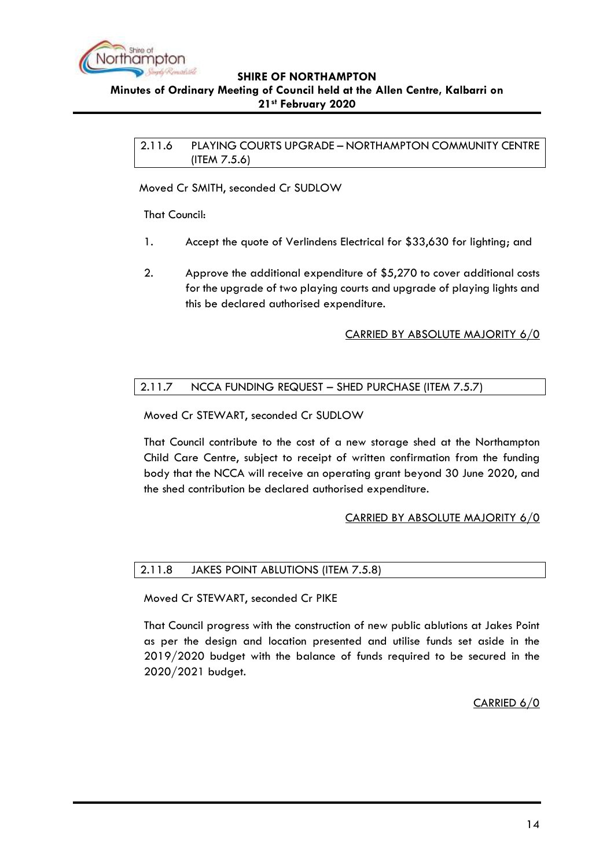

#### <span id="page-13-0"></span>**Minutes of Ordinary Meeting of Council held at the Allen Centre, Kalbarri on 21st February 2020**

2.11.6 PLAYING COURTS UPGRADE – NORTHAMPTON COMMUNITY CENTRE (ITEM 7.5.6)

Moved Cr SMITH, seconded Cr SUDLOW

That Council:

- 1. Accept the quote of Verlindens Electrical for \$33,630 for lighting; and
- 2. Approve the additional expenditure of \$5,270 to cover additional costs for the upgrade of two playing courts and upgrade of playing lights and this be declared authorised expenditure.

### CARRIED BY ABSOLUTE MAJORITY 6/0

# <span id="page-13-1"></span>2.11.7 NCCA FUNDING REQUEST – SHED PURCHASE (ITEM 7.5.7)

Moved Cr STEWART, seconded Cr SUDLOW

That Council contribute to the cost of a new storage shed at the Northampton Child Care Centre, subject to receipt of written confirmation from the funding body that the NCCA will receive an operating grant beyond 30 June 2020, and the shed contribution be declared authorised expenditure.

### CARRIED BY ABSOLUTE MAJORITY 6/0

### <span id="page-13-2"></span>2.11.8 JAKES POINT ABLUTIONS (ITEM 7.5.8)

Moved Cr STEWART, seconded Cr PIKE

That Council progress with the construction of new public ablutions at Jakes Point as per the design and location presented and utilise funds set aside in the 2019/2020 budget with the balance of funds required to be secured in the 2020/2021 budget.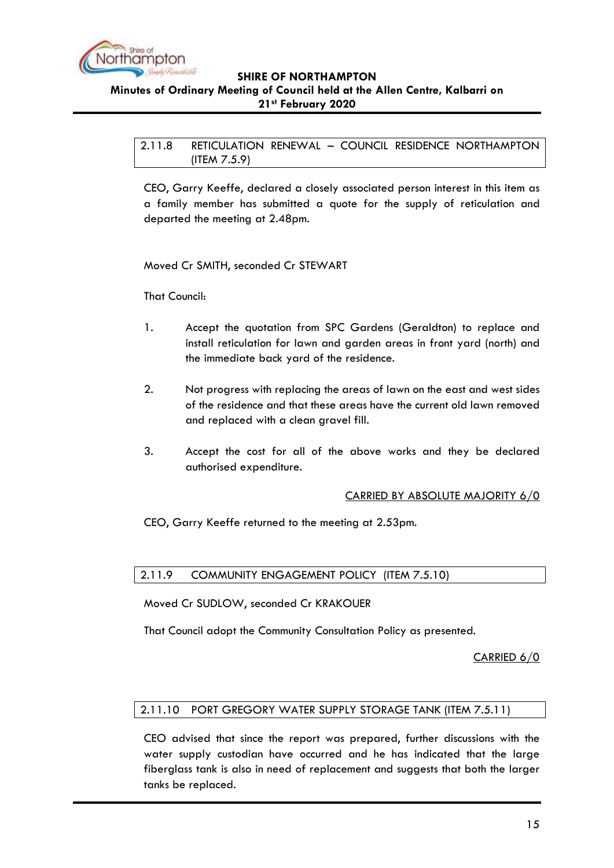

**21st February 2020**

<span id="page-14-0"></span>2.11.8 RETICULATION RENEWAL – COUNCIL RESIDENCE NORTHAMPTON (ITEM 7.5.9)

CEO, Garry Keeffe, declared a closely associated person interest in this item as a family member has submitted a quote for the supply of reticulation and departed the meeting at 2.48pm.

Moved Cr SMITH, seconded Cr STEWART

That Council:

- 1. Accept the quotation from SPC Gardens (Geraldton) to replace and install reticulation for lawn and garden areas in front yard (north) and the immediate back yard of the residence.
- 2. Not progress with replacing the areas of lawn on the east and west sides of the residence and that these areas have the current old lawn removed and replaced with a clean gravel fill.
- 3. Accept the cost for all of the above works and they be declared authorised expenditure.

### CARRIED BY ABSOLUTE MAJORITY 6/0

CEO, Garry Keeffe returned to the meeting at 2.53pm.

# <span id="page-14-1"></span>2.11.9 COMMUNITY ENGAGEMENT POLICY (ITEM 7.5.10)

Moved Cr SUDLOW, seconded Cr KRAKOUER

That Council adopt the Community Consultation Policy as presented.

CARRIED 6/0

# <span id="page-14-2"></span>2.11.10 PORT GREGORY WATER SUPPLY STORAGE TANK (ITEM 7.5.11)

CEO advised that since the report was prepared, further discussions with the water supply custodian have occurred and he has indicated that the large fiberglass tank is also in need of replacement and suggests that both the larger tanks be replaced.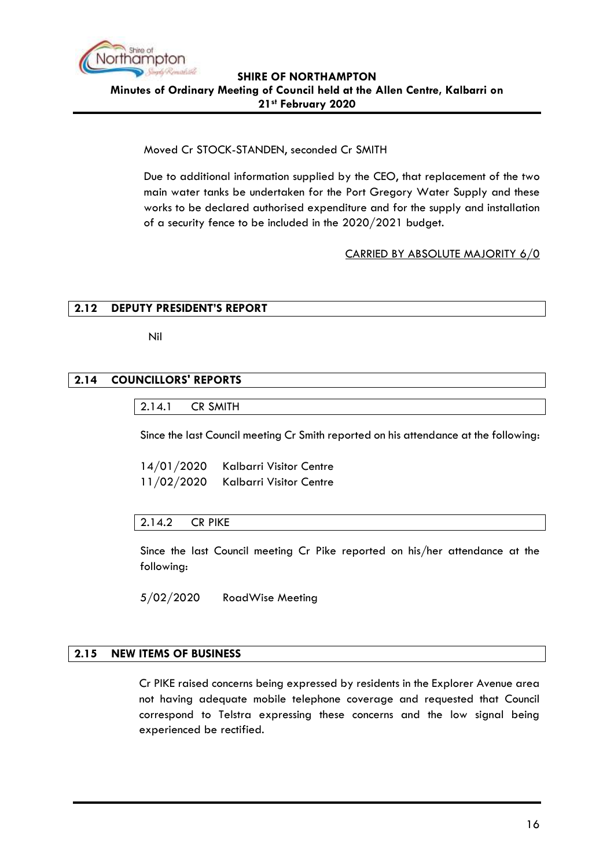

Moved Cr STOCK-STANDEN, seconded Cr SMITH

Due to additional information supplied by the CEO, that replacement of the two main water tanks be undertaken for the Port Gregory Water Supply and these works to be declared authorised expenditure and for the supply and installation of a security fence to be included in the 2020/2021 budget.

### CARRIED BY ABSOLUTE MAJORITY 6/0

# <span id="page-15-0"></span>**2.12 DEPUTY PRESIDENT'S REPORT**

Nil

### <span id="page-15-2"></span><span id="page-15-1"></span>**2.14 COUNCILLORS' REPORTS**

2.14.1 CR SMITH

Since the last Council meeting Cr Smith reported on his attendance at the following:

14/01/2020 Kalbarri Visitor Centre 11/02/2020 Kalbarri Visitor Centre

### <span id="page-15-3"></span>2.14.2 CR PIKE

Since the last Council meeting Cr Pike reported on his/her attendance at the following:

5/02/2020 RoadWise Meeting

#### <span id="page-15-4"></span>**2.15 NEW ITEMS OF BUSINESS**

Cr PIKE raised concerns being expressed by residents in the Explorer Avenue area not having adequate mobile telephone coverage and requested that Council correspond to Telstra expressing these concerns and the low signal being experienced be rectified.